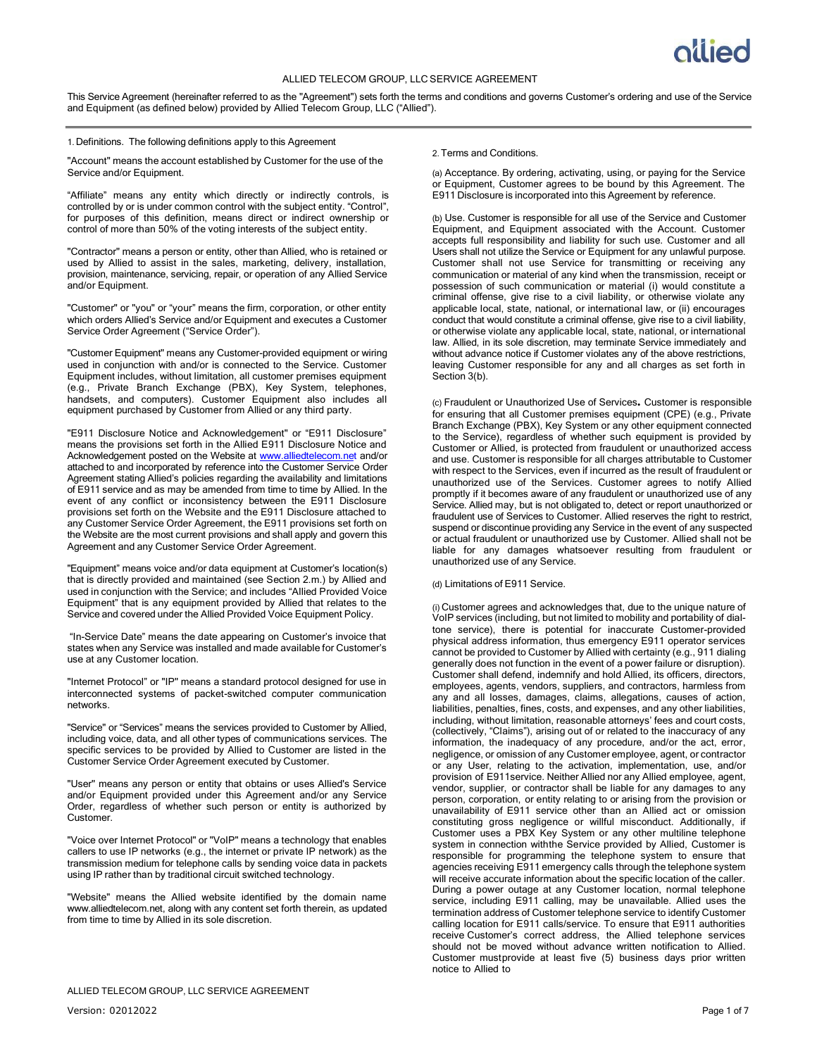## ALLIED TELECOM GROUP, LLC SERVICE AGREEMENT

This Service Agreement (hereinafter referred to as the "Agreement") sets forth the terms and conditions and governs Customer's ordering and use of the Service and Equipment (as defined below) provided by Allied Telecom Group, LLC ("Allied").

#### 1. Definitions. The following definitions apply to this Agreement

"Account" means the account established by Customer for the use of the Service and/or Equipment.

"Affiliate" means any entity which directly or indirectly controls, is controlled by or is under common control with the subject entity. "Control", for purposes of this definition, means direct or indirect ownership or control of more than 50% of the voting interests of the subject entity.

"Contractor" means a person or entity, other than Allied, who is retained or used by Allied to assist in the sales, marketing, delivery, installation, provision, maintenance, servicing, repair, or operation of any Allied Service and/or Equipment.

"Customer" or "you" or "your" means the firm, corporation, or other entity which orders Allied's Service and/or Equipment and executes a Customer Service Order Agreement ("Service Order").

"Customer Equipment" means any Customer-provided equipment or wiring used in conjunction with and/or is connected to the Service. Customer Equipment includes, without limitation, all customer premises equipment (e.g., Private Branch Exchange (PBX), Key System, telephones, handsets, and computers). Customer Equipment also includes all equipment purchased by Customer from Allied or any third party.

"E911 Disclosure Notice and Acknowledgement" or "E911 Disclosure" means the provisions set forth in the Allied E911 Disclosure Notice and Acknowledgement posted on the Website at [www.alliedtelecom.net](http://www.alliedtelecom.net/) and/or attached to and incorporated by reference into the Customer Service Order Agreement stating Allied's policies regarding the availability and limitations of E911 service and as may be amended from time to time by Allied. In the event of any conflict or inconsistency between the E911 Disclosure provisions set forth on the Website and the E911 Disclosure attached to any Customer Service Order Agreement, the E911 provisions set forth on the Website are the most current provisions and shall apply and govern this Agreement and any Customer Service Order Agreement.

"Equipment" means voice and/or data equipment at Customer's location(s) that is directly provided and maintained (see Section 2.m.) by Allied and used in conjunction with the Service; and includes "Allied Provided Voice Equipment" that is any equipment provided by Allied that relates to the Service and covered under the Allied Provided Voice Equipment Policy.

"In-Service Date" means the date appearing on Customer's invoice that states when any Service was installed and made available for Customer's use at any Customer location.

"Internet Protocol" or "IP" means a standard protocol designed for use in interconnected systems of packet-switched computer communication networks.

"Service" or "Services" means the services provided to Customer by Allied, including voice, data, and all other types of communications services. The specific services to be provided by Allied to Customer are listed in the Customer Service Order Agreement executed by Customer.

"User" means any person or entity that obtains or uses Allied's Service and/or Equipment provided under this Agreement and/or any Service Order, regardless of whether such person or entity is authorized by Customer.

"Voice over Internet Protocol" or "VoIP" means a technology that enables callers to use IP networks (e.g., the internet or private IP network) as the transmission medium for telephone calls by sending voice data in packets using IP rather than by traditional circuit switched technology.

"Website" means the Allied website identified by the domain name [www.alliedtelecom.net,](http://www.alliedtelecom.net/) along with any content set forth therein, as updated from time to time by Allied in its sole discretion.

## 2.Terms and Conditions.

(a) Acceptance. By ordering, activating, using, or paying for the Service or Equipment, Customer agrees to be bound by this Agreement. The E911 Disclosure is incorporated into this Agreement by reference.

(b) Use. Customer is responsible for all use of the Service and Customer Equipment, and Equipment associated with the Account. Customer accepts full responsibility and liability for such use. Customer and all Users shall not utilize the Service or Equipment for any unlawful purpose. Customer shall not use Service for transmitting or receiving any communication or material of any kind when the transmission, receipt or possession of such communication or material (i) would constitute a criminal offense, give rise to a civil liability, or otherwise violate any applicable local, state, national, or international law, or (ii) encourages conduct that would constitute a criminal offense, give rise to a civil liability, or otherwise violate any applicable local, state, national, or international law. Allied, in its sole discretion, may terminate Service immediately and without advance notice if Customer violates any of the above restrictions, leaving Customer responsible for any and all charges as set forth in Section 3(b).

(c) Fraudulent or Unauthorized Use of Services**.** Customer is responsible for ensuring that all Customer premises equipment (CPE) (e.g., Private Branch Exchange (PBX), Key System or any other equipment connected to the Service), regardless of whether such equipment is provided by Customer or Allied, is protected from fraudulent or unauthorized access and use. Customer is responsible for all charges attributable to Customer with respect to the Services, even if incurred as the result of fraudulent or unauthorized use of the Services. Customer agrees to notify Allied promptly if it becomes aware of any fraudulent or unauthorized use of any Service. Allied may, but is not obligated to, detect or report unauthorized or fraudulent use of Services to Customer. Allied reserves the right to restrict, suspend or discontinue providing any Service in the event of any suspected or actual fraudulent or unauthorized use by Customer. Allied shall not be liable for any damages whatsoever resulting from fraudulent or unauthorized use of any Service.

# (d) Limitations of E911 Service.

(i) Customer agrees and acknowledges that, due to the unique nature of VoIP services (including, but not limited to mobility and portability of dialtone service), there is potential for inaccurate Customer-provided physical address information, thus emergency E911 operator services cannot be provided to Customer by Allied with certainty (e.g., 911 dialing generally does not function in the event of a power failure or disruption). Customer shall defend, indemnify and hold Allied, its officers, directors, employees, agents, vendors, suppliers, and contractors, harmless from any and all losses, damages, claims, allegations, causes of action, liabilities, penalties, fines, costs, and expenses, and any other liabilities, including, without limitation, reasonable attorneys' fees and court costs, (collectively, "Claims"), arising out of or related to the inaccuracy of any information, the inadequacy of any procedure, and/or the act, error, negligence, or omission of any Customer employee, agent, or contractor or any User, relating to the activation, implementation, use, and/or provision of E911service. Neither Allied nor any Allied employee, agent, vendor, supplier, or contractor shall be liable for any damages to any person, corporation, or entity relating to or arising from the provision or unavailability of E911 service other than an Allied act or omission constituting gross negligence or willful misconduct. Additionally, if Customer uses a PBX Key System or any other multiline telephone system in connection withthe Service provided by Allied, Customer is responsible for programming the telephone system to ensure that agencies receiving E911 emergency calls through the telephone system will receive accurate information about the specific location of the caller. During a power outage at any Customer location, normal telephone service, including E911 calling, may be unavailable. Allied uses the termination address of Customer telephone service to identify Customer calling location for E911 calls/service. To ensure that E911 authorities receive Customer's correct address, the Allied telephone services should not be moved without advance written notification to Allied. Customer mustprovide at least five (5) business days prior written notice to Allied to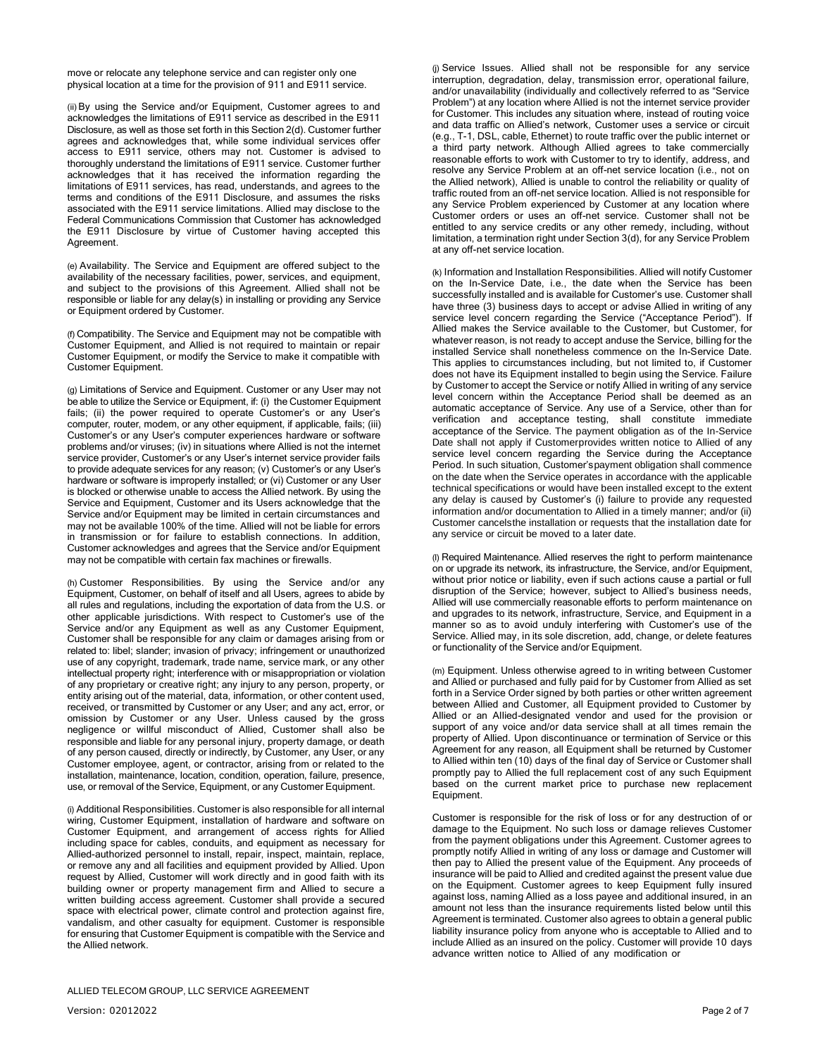move or relocate any telephone service and can register only one physical location at a time for the provision of 911 and E911 service.

(ii)By using the Service and/or Equipment, Customer agrees to and acknowledges the limitations of E911 service as described in the E911 Disclosure, as well as those set forth in this Section 2(d). Customer further agrees and acknowledges that, while some individual services offer access to E911 service, others may not. Customer is advised to thoroughly understand the limitations of E911 service. Customer further acknowledges that it has received the information regarding the limitations of E911 services, has read, understands, and agrees to the terms and conditions of the E911 Disclosure, and assumes the risks associated with the E911 service limitations. Allied may disclose to the Federal Communications Commission that Customer has acknowledged the E911 Disclosure by virtue of Customer having accepted this Agreement.

(e) Availability. The Service and Equipment are offered subject to the availability of the necessary facilities, power, services, and equipment, and subject to the provisions of this Agreement. Allied shall not be responsible or liable for any delay(s) in installing or providing any Service or Equipment ordered by Customer.

(f) Compatibility. The Service and Equipment may not be compatible with Customer Equipment, and Allied is not required to maintain or repair Customer Equipment, or modify the Service to make it compatible with Customer Equipment.

(g) Limitations of Service and Equipment. Customer or any User may not be able to utilize the Service or Equipment, if: (i) the Customer Equipment fails; (ii) the power required to operate Customer's or any User's computer, router, modem, or any other equipment, if applicable, fails; (iii) Customer's or any User's computer experiences hardware or software problems and/or viruses; (iv) in situations where Allied is not the internet service provider, Customer's or any User's internet service provider fails to provide adequate services for any reason; (v) Customer's or any User's hardware or software is improperly installed; or (vi) Customer or any User is blocked or otherwise unable to access the Allied network. By using the Service and Equipment, Customer and its Users acknowledge that the Service and/or Equipment may be limited in certain circumstances and may not be available 100% of the time. Allied will not be liable for errors in transmission or for failure to establish connections. In addition, Customer acknowledges and agrees that the Service and/or Equipment may not be compatible with certain fax machines or firewalls.

(h) Customer Responsibilities. By using the Service and/or any Equipment, Customer, on behalf of itself and all Users, agrees to abide by all rules and regulations, including the exportation of data from the U.S. or other applicable jurisdictions. With respect to Customer's use of the Service and/or any Equipment as well as any Customer Equipment, Customer shall be responsible for any claim or damages arising from or related to: libel; slander; invasion of privacy; infringement or unauthorized use of any copyright, trademark, trade name, service mark, or any other intellectual property right; interference with or misappropriation or violation of any proprietary or creative right; any injury to any person, property, or entity arising out of the material, data, information, or other content used, received, or transmitted by Customer or any User; and any act, error, or omission by Customer or any User. Unless caused by the gross negligence or willful misconduct of Allied, Customer shall also be responsible and liable for any personal injury, property damage, or death of any person caused, directly or indirectly, by Customer, any User, or any Customer employee, agent, or contractor, arising from or related to the installation, maintenance, location, condition, operation, failure, presence, use, or removal of the Service, Equipment, or any Customer Equipment.

(i) Additional Responsibilities. Customer is also responsible for all internal wiring, Customer Equipment, installation of hardware and software on Customer Equipment, and arrangement of access rights for Allied including space for cables, conduits, and equipment as necessary for Allied-authorized personnel to install, repair, inspect, maintain, replace, or remove any and all facilities and equipment provided by Allied. Upon request by Allied, Customer will work directly and in good faith with its building owner or property management firm and Allied to secure a written building access agreement. Customer shall provide a secured space with electrical power, climate control and protection against fire, vandalism, and other casualty for equipment. Customer is responsible for ensuring that Customer Equipment is compatible with the Service and the Allied network.

(j) Service Issues. Allied shall not be responsible for any service interruption, degradation, delay, transmission error, operational failure, and/or unavailability (individually and collectively referred to as "Service Problem") at any location where Allied is not the internet service provider for Customer. This includes any situation where, instead of routing voice and data traffic on Allied's network, Customer uses a service or circuit (e.g., T-1, DSL, cable, Ethernet) to route traffic over the public internet or a third party network. Although Allied agrees to take commercially reasonable efforts to work with Customer to try to identify, address, and resolve any Service Problem at an off-net service location (i.e., not on the Allied network), Allied is unable to control the reliability or quality of traffic routed from an off-net service location. Allied is not responsible for any Service Problem experienced by Customer at any location where Customer orders or uses an off-net service. Customer shall not be entitled to any service credits or any other remedy, including, without limitation, a termination right under Section 3(d), for any Service Problem at any off-net service location.

(k) Information and Installation Responsibilities. Allied will notify Customer on the In-Service Date, i.e., the date when the Service has been successfully installed and is available for Customer's use. Customer shall have three (3) business days to accept or advise Allied in writing of any service level concern regarding the Service ("Acceptance Period"). If Allied makes the Service available to the Customer, but Customer, for whatever reason, is not ready to accept anduse the Service, billing for the installed Service shall nonetheless commence on the In-Service Date. This applies to circumstances including, but not limited to, if Customer does not have its Equipment installed to begin using the Service. Failure by Customer to accept the Service or notify Allied in writing of any service level concern within the Acceptance Period shall be deemed as an automatic acceptance of Service. Any use of a Service, other than for verification and acceptance testing, shall constitute immediate acceptance of the Service. The payment obligation as of the In-Service Date shall not apply if Customerprovides written notice to Allied of any service level concern regarding the Service during the Acceptance Period. In such situation, Customer'spayment obligation shall commence on the date when the Service operates in accordance with the applicable technical specifications or would have been installed except to the extent any delay is caused by Customer's (i) failure to provide any requested information and/or documentation to Allied in a timely manner; and/or (ii) Customer cancelsthe installation or requests that the installation date for any service or circuit be moved to a later date.

(l) Required Maintenance. Allied reserves the right to perform maintenance on or upgrade its network, its infrastructure, the Service, and/or Equipment, without prior notice or liability, even if such actions cause a partial or full disruption of the Service; however, subject to Allied's business needs, Allied will use commercially reasonable efforts to perform maintenance on and upgrades to its network, infrastructure, Service, and Equipment in a manner so as to avoid unduly interfering with Customer's use of the Service. Allied may, in its sole discretion, add, change, or delete features or functionality of the Service and/or Equipment.

(m) Equipment. Unless otherwise agreed to in writing between Customer and Allied or purchased and fully paid for by Customer from Allied as set forth in a Service Order signed by both parties or other written agreement between Allied and Customer, all Equipment provided to Customer by Allied or an Allied-designated vendor and used for the provision or support of any voice and/or data service shall at all times remain the property of Allied. Upon discontinuance or termination of Service or this Agreement for any reason, all Equipment shall be returned by Customer to Allied within ten (10) days of the final day of Service or Customer shall promptly pay to Allied the full replacement cost of any such Equipment based on the current market price to purchase new replacement Equipment.

Customer is responsible for the risk of loss or for any destruction of or damage to the Equipment. No such loss or damage relieves Customer from the payment obligations under this Agreement. Customer agrees to promptly notify Allied in writing of any loss or damage and Customer will then pay to Allied the present value of the Equipment. Any proceeds of insurance will be paid to Allied and credited against the present value due on the Equipment. Customer agrees to keep Equipment fully insured against loss, naming Allied as a loss payee and additional insured, in an amount not less than the insurance requirements listed below until this Agreement is terminated. Customer also agrees to obtain a general public liability insurance policy from anyone who is acceptable to Allied and to include Allied as an insured on the policy. Customer will provide 10 days advance written notice to Allied of any modification or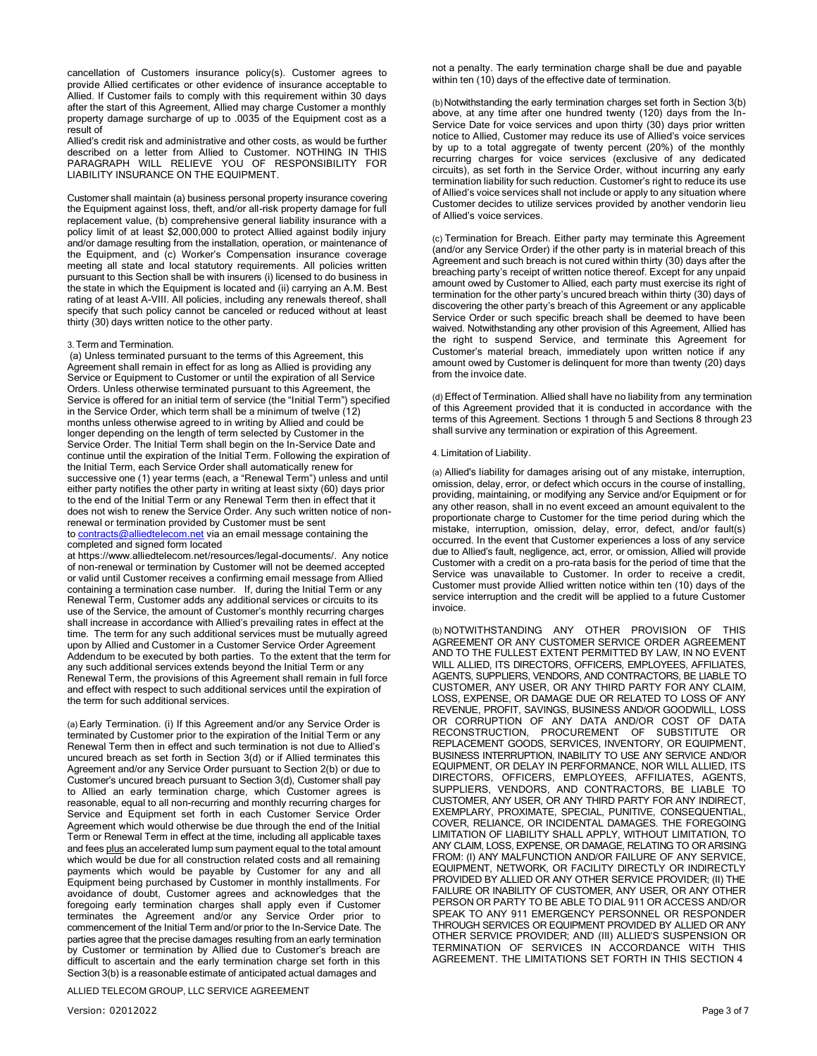cancellation of Customers insurance policy(s). Customer agrees to provide Allied certificates or other evidence of insurance acceptable to Allied. If Customer fails to comply with this requirement within 30 days after the start of this Agreement, Allied may charge Customer a monthly property damage surcharge of up to .0035 of the Equipment cost as a result of

Allied's credit risk and administrative and other costs, as would be further described on a letter from Allied to Customer. NOTHING IN THIS PARAGRAPH WILL RELIEVE YOU OF RESPONSIBILITY FOR LIABILITY INSURANCE ON THE EQUIPMENT.

Customer shall maintain (a) business personal property insurance covering the Equipment against loss, theft, and/or all-risk property damage for full replacement value, (b) comprehensive general liability insurance with a policy limit of at least \$2,000,000 to protect Allied against bodily injury and/or damage resulting from the installation, operation, or maintenance of the Equipment, and (c) Worker's Compensation insurance coverage meeting all state and local statutory requirements. All policies written pursuant to this Section shall be with insurers (i) licensed to do business in the state in which the Equipment is located and (ii) carrying an A.M. Best rating of at least A-VIII. All policies, including any renewals thereof, shall specify that such policy cannot be canceled or reduced without at least thirty (30) days written notice to the other party.

# 3.Term and Termination.

(a) Unless terminated pursuant to the terms of this Agreement, this Agreement shall remain in effect for as long as Allied is providing any Service or Equipment to Customer or until the expiration of all Service Orders. Unless otherwise terminated pursuant to this Agreement, the Service is offered for an initial term of service (the "Initial Term") specified in the Service Order, which term shall be a minimum of twelve (12) months unless otherwise agreed to in writing by Allied and could be longer depending on the length of term selected by Customer in the Service Order. The Initial Term shall begin on the In-Service Date and continue until the expiration of the Initial Term. Following the expiration of the Initial Term, each Service Order shall automatically renew for successive one (1) year terms (each, a "Renewal Term") unless and until either party notifies the other party in writing at least sixty (60) days prior to the end of the Initial Term or any Renewal Term then in effect that it does not wish to renew the Service Order. Any such written notice of nonrenewal or termination provided by Customer must be sent to [contracts@alliedtelecom.net](mailto:contracts@alliedtelecom.net) via an email message containing the completed and signed form located

at [https://www.alliedtelecom.net/resources/legal-documents/.](https://www.alliedtelecom.net/resources/legal-documents/) Any notice of non-renewal or termination by Customer will not be deemed accepted or valid until Customer receives a confirming email message from Allied containing a termination case number. If, during the Initial Term or any Renewal Term, Customer adds any additional services or circuits to its use of the Service, the amount of Customer's monthly recurring charges shall increase in accordance with Allied's prevailing rates in effect at the time. The term for any such additional services must be mutually agreed upon by Allied and Customer in a Customer Service Order Agreement Addendum to be executed by both parties. To the extent that the term for any such additional services extends beyond the Initial Term or any Renewal Term, the provisions of this Agreement shall remain in full force and effect with respect to such additional services until the expiration of the term for such additional services.

(a) Early Termination. (i) If this Agreement and/or any Service Order is terminated by Customer prior to the expiration of the Initial Term or any Renewal Term then in effect and such termination is not due to Allied's uncured breach as set forth in Section 3(d) or if Allied terminates this Agreement and/or any Service Order pursuant to Section 2(b) or due to Customer's uncured breach pursuant to Section 3(d), Customer shall pay to Allied an early termination charge, which Customer agrees is reasonable, equal to all non-recurring and monthly recurring charges for Service and Equipment set forth in each Customer Service Order Agreement which would otherwise be due through the end of the Initial Term or Renewal Term in effect at the time, including all applicable taxes and fees plus an accelerated lump sum payment equal to the total amount which would be due for all construction related costs and all remaining payments which would be payable by Customer for any and all Equipment being purchased by Customer in monthly installments. For avoidance of doubt, Customer agrees and acknowledges that the foregoing early termination charges shall apply even if Customer terminates the Agreement and/or any Service Order prior to commencement of the Initial Term and/or prior to the In-Service Date. The parties agree that the precise damages resulting from an early termination by Customer or termination by Allied due to Customer's breach are difficult to ascertain and the early termination charge set forth in this Section 3(b) is a reasonable estimate of anticipated actual damages and

ALLIED TELECOM GROUP, LLC SERVICE AGREEMENT

not a penalty. The early termination charge shall be due and payable within ten (10) days of the effective date of termination.

(b) Notwithstanding the early termination charges set forth in Section 3(b) above, at any time after one hundred twenty (120) days from the In-Service Date for voice services and upon thirty (30) days prior written notice to Allied, Customer may reduce its use of Allied's voice services by up to a total aggregate of twenty percent (20%) of the monthly recurring charges for voice services (exclusive of any dedicated circuits), as set forth in the Service Order, without incurring any early termination liability for such reduction. Customer's right to reduce its use of Allied's voice services shall not include or apply to any situation where Customer decides to utilize services provided by another vendorin lieu of Allied's voice services.

(c) Termination for Breach. Either party may terminate this Agreement (and/or any Service Order) if the other party is in material breach of this Agreement and such breach is not cured within thirty (30) days after the breaching party's receipt of written notice thereof. Except for any unpaid amount owed by Customer to Allied, each party must exercise its right of termination for the other party's uncured breach within thirty (30) days of discovering the other party's breach of this Agreement or any applicable Service Order or such specific breach shall be deemed to have been waived. Notwithstanding any other provision of this Agreement, Allied has the right to suspend Service, and terminate this Agreement for Customer's material breach, immediately upon written notice if any amount owed by Customer is delinquent for more than twenty (20) days from the invoice date.

(d) Effect of Termination. Allied shall have no liability from any termination of this Agreement provided that it is conducted in accordance with the terms of this Agreement. Sections 1 through 5 and Sections 8 through 23 shall survive any termination or expiration of this Agreement.

## 4. Limitation of Liability.

(a) Allied's liability for damages arising out of any mistake, interruption, omission, delay, error, or defect which occurs in the course of installing, providing, maintaining, or modifying any Service and/or Equipment or for any other reason, shall in no event exceed an amount equivalent to the proportionate charge to Customer for the time period during which the mistake, interruption, omission, delay, error, defect, and/or fault(s) occurred. In the event that Customer experiences a loss of any service due to Allied's fault, negligence, act, error, or omission, Allied will provide Customer with a credit on a pro-rata basis for the period of time that the Service was unavailable to Customer. In order to receive a credit, Customer must provide Allied written notice within ten (10) days of the service interruption and the credit will be applied to a future Customer invoice.

(b) NOTWITHSTANDING ANY OTHER PROVISION OF THIS AGREEMENT OR ANY CUSTOMER SERVICE ORDER AGREEMENT AND TO THE FULLEST EXTENT PERMITTED BY LAW, IN NO EVENT WILL ALLIED, ITS DIRECTORS, OFFICERS, EMPLOYEES, AFFILIATES, AGENTS, SUPPLIERS, VENDORS, AND CONTRACTORS, BE LIABLE TO CUSTOMER, ANY USER, OR ANY THIRD PARTY FOR ANY CLAIM, LOSS, EXPENSE, OR DAMAGE DUE OR RELATED TO LOSS OF ANY REVENUE, PROFIT, SAVINGS, BUSINESS AND/OR GOODWILL, LOSS OR CORRUPTION OF ANY DATA AND/OR COST OF DATA RECONSTRUCTION, PROCUREMENT OF SUBSTITUTE OR REPLACEMENT GOODS, SERVICES, INVENTORY, OR EQUIPMENT, BUSINESS INTERRUPTION, INABILITY TO USE ANY SERVICE AND/OR EQUIPMENT, OR DELAY IN PERFORMANCE, NOR WILL ALLIED, ITS DIRECTORS, OFFICERS, EMPLOYEES, AFFILIATES, AGENTS, SUPPLIERS, VENDORS, AND CONTRACTORS, BE LIABLE TO CUSTOMER, ANY USER, OR ANY THIRD PARTY FOR ANY INDIRECT, EXEMPLARY, PROXIMATE, SPECIAL, PUNITIVE, CONSEQUENTIAL, COVER, RELIANCE, OR INCIDENTAL DAMAGES. THE FOREGOING LIMITATION OF LIABILITY SHALL APPLY, WITHOUT LIMITATION, TO ANY CLAIM, LOSS, EXPENSE, OR DAMAGE, RELATING TO OR ARISING FROM: (I) ANY MALFUNCTION AND/OR FAILURE OF ANY SERVICE, EQUIPMENT, NETWORK, OR FACILITY DIRECTLY OR INDIRECTLY PROVIDED BY ALLIED OR ANY OTHER SERVICE PROVIDER; (II) THE FAILURE OR INABILITY OF CUSTOMER, ANY USER, OR ANY OTHER PERSON OR PARTY TO BE ABLE TO DIAL 911 OR ACCESS AND/OR SPEAK TO ANY 911 EMERGENCY PERSONNEL OR RESPONDER THROUGH SERVICES OR EQUIPMENT PROVIDED BY ALLIED OR ANY OTHER SERVICE PROVIDER; AND (III) ALLIED'S SUSPENSION OR TERMINATION OF SERVICES IN ACCORDANCE WITH THIS AGREEMENT. THE LIMITATIONS SET FORTH IN THIS SECTION 4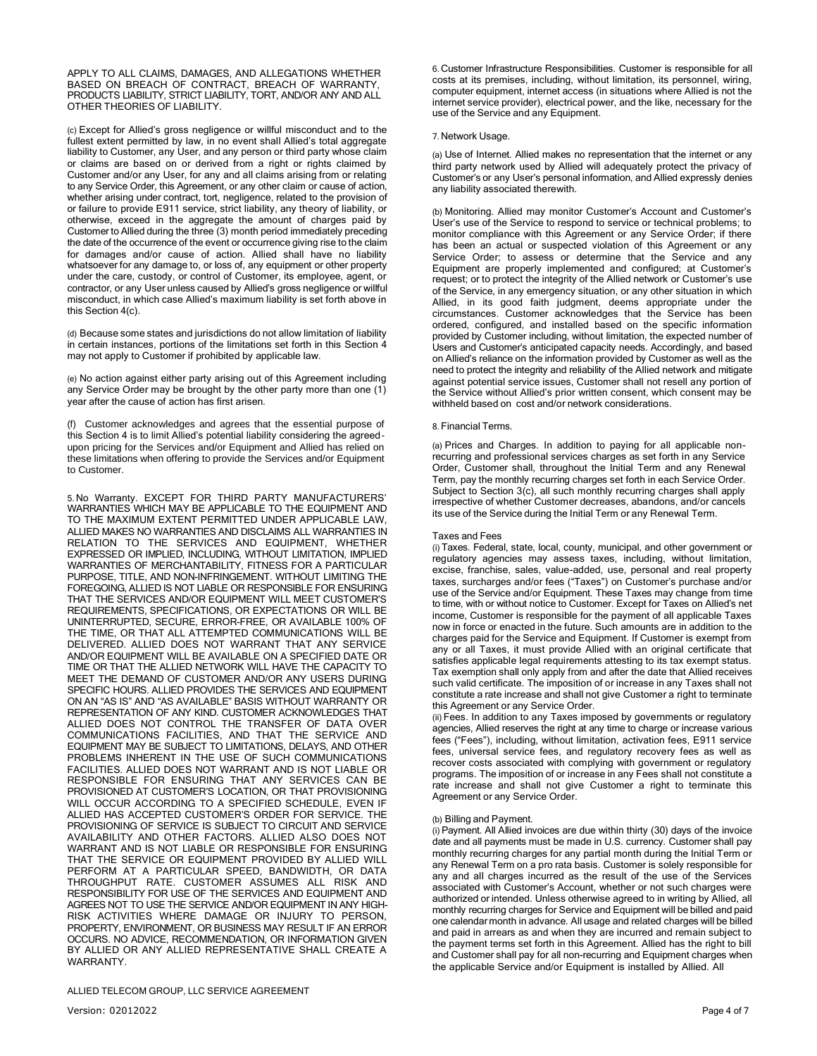APPLY TO ALL CLAIMS, DAMAGES, AND ALLEGATIONS WHETHER BASED ON BREACH OF CONTRACT, BREACH OF WARRANTY, PRODUCTS LIABILITY, STRICT LIABILITY, TORT, AND/OR ANY AND ALL OTHER THEORIES OF LIABILITY.

(c) Except for Allied's gross negligence or willful misconduct and to the fullest extent permitted by law, in no event shall Allied's total aggregate liability to Customer, any User, and any person or third party whose claim or claims are based on or derived from a right or rights claimed by Customer and/or any User, for any and all claims arising from or relating to any Service Order, this Agreement, or any other claim or cause of action, whether arising under contract, tort, negligence, related to the provision of or failure to provide E911 service, strict liability, any theory of liability, or otherwise, exceed in the aggregate the amount of charges paid by Customer to Allied during the three (3) month period immediately preceding the date of the occurrence of the event or occurrence giving rise to the claim for damages and/or cause of action. Allied shall have no liability whatsoever for any damage to, or loss of, any equipment or other property under the care, custody, or control of Customer, its employee, agent, or contractor, or any User unless caused by Allied's gross negligence or willful misconduct, in which case Allied's maximum liability is set forth above in this Section 4(c).

(d) Because some states and jurisdictions do not allow limitation of liability in certain instances, portions of the limitations set forth in this Section 4 may not apply to Customer if prohibited by applicable law.

(e) No action against either party arising out of this Agreement including any Service Order may be brought by the other party more than one (1) year after the cause of action has first arisen.

(f) Customer acknowledges and agrees that the essential purpose of this Section 4 is to limit Allied's potential liability considering the agreedupon pricing for the Services and/or Equipment and Allied has relied on these limitations when offering to provide the Services and/or Equipment to Customer.

5. No Warranty. EXCEPT FOR THIRD PARTY MANUFACTURERS' WARRANTIES WHICH MAY BE APPLICABLE TO THE EQUIPMENT AND TO THE MAXIMUM EXTENT PERMITTED UNDER APPLICABLE LAW, ALLIED MAKES NO WARRANTIES AND DISCLAIMS ALL WARRANTIES IN RELATION TO THE SERVICES AND EQUIPMENT, WHETHER EXPRESSED OR IMPLIED, INCLUDING, WITHOUT LIMITATION, IMPLIED WARRANTIES OF MERCHANTABILITY, FITNESS FOR A PARTICULAR PURPOSE, TITLE, AND NON-INFRINGEMENT. WITHOUT LIMITING THE FOREGOING, ALLIED IS NOT LIABLE OR RESPONSIBLE FOR ENSURING THAT THE SERVICES AND/OR EQUIPMENT WILL MEET CUSTOMER'S REQUIREMENTS, SPECIFICATIONS, OR EXPECTATIONS OR WILL BE UNINTERRUPTED, SECURE, ERROR-FREE, OR AVAILABLE 100% OF THE TIME, OR THAT ALL ATTEMPTED COMMUNICATIONS WILL BE DELIVERED. ALLIED DOES NOT WARRANT THAT ANY SERVICE AND/OR EQUIPMENT WILL BE AVAILABLE ON A SPECIFIED DATE OR TIME OR THAT THE ALLIED NETWORK WILL HAVE THE CAPACITY TO MEET THE DEMAND OF CUSTOMER AND/OR ANY USERS DURING SPECIFIC HOURS. ALLIED PROVIDES THE SERVICES AND EQUIPMENT ON AN "AS IS" AND "AS AVAILABLE" BASIS WITHOUT WARRANTY OR REPRESENTATION OF ANY KIND. CUSTOMER ACKNOWLEDGES THAT ALLIED DOES NOT CONTROL THE TRANSFER OF DATA OVER COMMUNICATIONS FACILITIES, AND THAT THE SERVICE AND EQUIPMENT MAY BE SUBJECT TO LIMITATIONS, DELAYS, AND OTHER PROBLEMS INHERENT IN THE USE OF SUCH COMMUNICATIONS FACILITIES. ALLIED DOES NOT WARRANT AND IS NOT LIABLE OR RESPONSIBLE FOR ENSURING THAT ANY SERVICES CAN BE PROVISIONED AT CUSTOMER'S LOCATION, OR THAT PROVISIONING WILL OCCUR ACCORDING TO A SPECIFIED SCHEDULE, EVEN IF ALLIED HAS ACCEPTED CUSTOMER'S ORDER FOR SERVICE. THE PROVISIONING OF SERVICE IS SUBJECT TO CIRCUIT AND SERVICE AVAILABILITY AND OTHER FACTORS. ALLIED ALSO DOES NOT WARRANT AND IS NOT LIABLE OR RESPONSIBLE FOR ENSURING THAT THE SERVICE OR EQUIPMENT PROVIDED BY ALLIED WILL PERFORM AT A PARTICULAR SPEED, BANDWIDTH, OR DATA THROUGHPUT RATE. CUSTOMER ASSUMES ALL RISK AND RESPONSIBILITY FOR USE OF THE SERVICES AND EQUIPMENT AND AGREES NOT TO USE THE SERVICE AND/OR EQUIPMENT IN ANY HIGH-RISK ACTIVITIES WHERE DAMAGE OR INJURY TO PERSON, PROPERTY, ENVIRONMENT, OR BUSINESS MAY RESULT IF AN ERROR OCCURS. NO ADVICE, RECOMMENDATION, OR INFORMATION GIVEN BY ALLIED OR ANY ALLIED REPRESENTATIVE SHALL CREATE A WARRANTY.

ALLIED TELECOM GROUP, LLC SERVICE AGREEMENT

6. Customer Infrastructure Responsibilities. Customer is responsible for all costs at its premises, including, without limitation, its personnel, wiring, computer equipment, internet access (in situations where Allied is not the internet service provider), electrical power, and the like, necessary for the use of the Service and any Equipment.

#### 7. Network Usage.

(a) Use of Internet. Allied makes no representation that the internet or any third party network used by Allied will adequately protect the privacy of Customer's or any User's personal information, and Allied expressly denies any liability associated therewith.

(b) Monitoring. Allied may monitor Customer's Account and Customer's User's use of the Service to respond to service or technical problems; to monitor compliance with this Agreement or any Service Order; if there has been an actual or suspected violation of this Agreement or any Service Order; to assess or determine that the Service and any Equipment are properly implemented and configured; at Customer's request; or to protect the integrity of the Allied network or Customer's use of the Service, in any emergency situation, or any other situation in which Allied, in its good faith judgment, deems appropriate under the circumstances. Customer acknowledges that the Service has been ordered, configured, and installed based on the specific information provided by Customer including, without limitation, the expected number of Users and Customer's anticipated capacity needs. Accordingly, and based on Allied's reliance on the information provided by Customer as well as the need to protect the integrity and reliability of the Allied network and mitigate against potential service issues, Customer shall not resell any portion of the Service without Allied's prior written consent, which consent may be withheld based on cost and/or network considerations.

## 8.Financial Terms.

(a) Prices and Charges. In addition to paying for all applicable nonrecurring and professional services charges as set forth in any Service Order, Customer shall, throughout the Initial Term and any Renewal Term, pay the monthly recurring charges set forth in each Service Order. Subject to Section 3(c), all such monthly recurring charges shall apply irrespective of whether Customer decreases, abandons, and/or cancels its use of the Service during the Initial Term or any Renewal Term.

#### Taxes and Fees

(i) Taxes. Federal, state, local, county, municipal, and other government or regulatory agencies may assess taxes, including, without limitation, excise, franchise, sales, value-added, use, personal and real property taxes, surcharges and/or fees ("Taxes") on Customer's purchase and/or use of the Service and/or Equipment. These Taxes may change from time to time, with or without notice to Customer. Except for Taxes on Allied's net income, Customer is responsible for the payment of all applicable Taxes now in force or enacted in the future. Such amounts are in addition to the charges paid for the Service and Equipment. If Customer is exempt from any or all Taxes, it must provide Allied with an original certificate that satisfies applicable legal requirements attesting to its tax exempt status. Tax exemption shall only apply from and after the date that Allied receives such valid certificate. The imposition of or increase in any Taxes shall not constitute a rate increase and shall not give Customer a right to terminate this Agreement or any Service Order.

(ii) Fees. In addition to any Taxes imposed by governments or regulatory agencies, Allied reserves the right at any time to charge or increase various fees ("Fees"), including, without limitation, activation fees, E911 service fees, universal service fees, and regulatory recovery fees as well as recover costs associated with complying with government or regulatory programs. The imposition of or increase in any Fees shall not constitute a rate increase and shall not give Customer a right to terminate this Agreement or any Service Order.

# (b) Billing and Payment.

(i)Payment. All Allied invoices are due within thirty (30) days of the invoice date and all payments must be made in U.S. currency. Customer shall pay monthly recurring charges for any partial month during the Initial Term or any Renewal Term on a pro rata basis. Customer is solely responsible for any and all charges incurred as the result of the use of the Services associated with Customer's Account, whether or not such charges were authorized or intended. Unless otherwise agreed to in writing by Allied, all monthly recurring charges for Service and Equipment will be billed and paid one calendar month in advance. All usage and related charges will be billed and paid in arrears as and when they are incurred and remain subject to the payment terms set forth in this Agreement. Allied has the right to bill and Customer shall pay for all non-recurring and Equipment charges when the applicable Service and/or Equipment is installed by Allied. All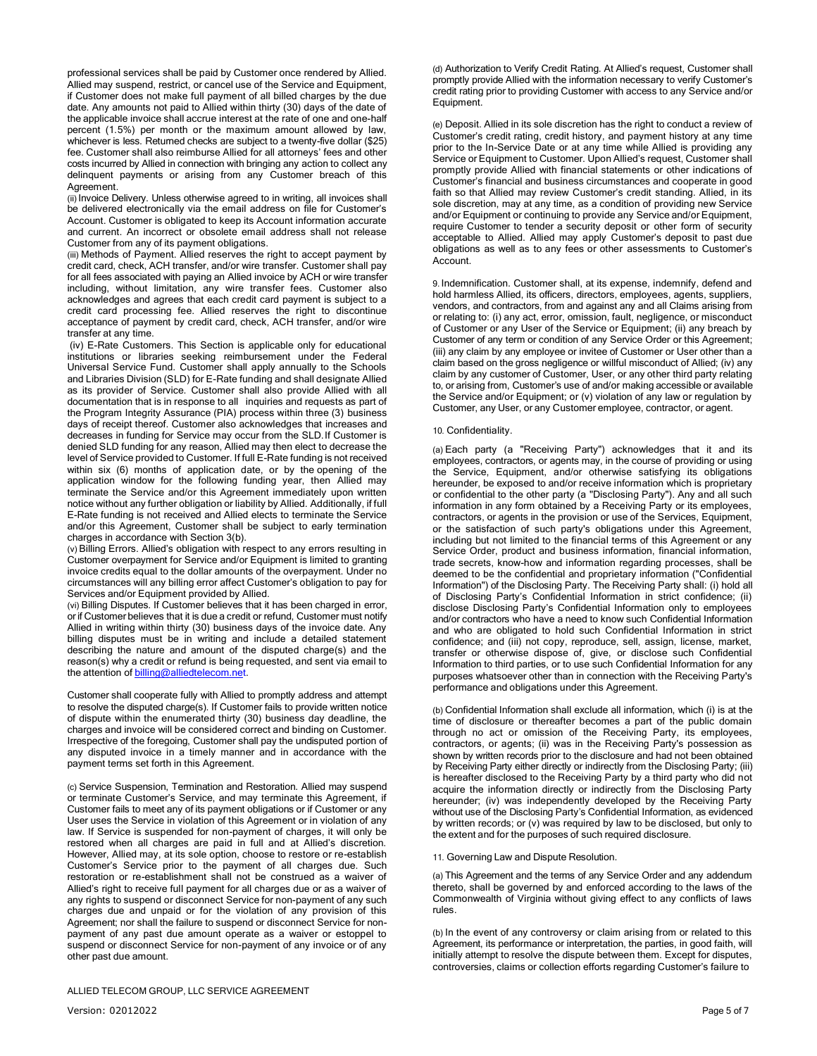professional services shall be paid by Customer once rendered by Allied. Allied may suspend, restrict, or cancel use of the Service and Equipment, if Customer does not make full payment of all billed charges by the due date. Any amounts not paid to Allied within thirty (30) days of the date of the applicable invoice shall accrue interest at the rate of one and one-half percent (1.5%) per month or the maximum amount allowed by law, whichever is less. Returned checks are subject to a twenty-five dollar (\$25) fee. Customer shall also reimburse Allied for all attorneys' fees and other costs incurred by Allied in connection with bringing any action to collect any delinquent payments or arising from any Customer breach of this Agreement.

(ii) Invoice Delivery. Unless otherwise agreed to in writing, all invoices shall be delivered electronically via the email address on file for Customer's Account. Customer is obligated to keep its Account information accurate and current. An incorrect or obsolete email address shall not release Customer from any of its payment obligations.

(iii) Methods of Payment. Allied reserves the right to accept payment by credit card, check, ACH transfer, and/or wire transfer. Customer shall pay for all fees associated with paying an Allied invoice by ACH or wire transfer including, without limitation, any wire transfer fees. Customer also acknowledges and agrees that each credit card payment is subject to a credit card processing fee. Allied reserves the right to discontinue acceptance of payment by credit card, check, ACH transfer, and/or wire transfer at any time.

(iv) E-Rate Customers. This Section is applicable only for educational institutions or libraries seeking reimbursement under the Federal Universal Service Fund. Customer shall apply annually to the Schools and Libraries Division (SLD) for E-Rate funding and shall designate Allied as its provider of Service. Customer shall also provide Allied with all documentation that is in response to all inquiries and requests as part of the Program Integrity Assurance (PIA) process within three (3) business days of receipt thereof. Customer also acknowledges that increases and decreases in funding for Service may occur from the SLD.If Customer is denied SLD funding for any reason, Allied may then elect to decrease the level of Service provided to Customer. If full E-Rate funding is not received within six (6) months of application date, or by the opening of the application window for the following funding year, then Allied may terminate the Service and/or this Agreement immediately upon written notice without any further obligation or liability by Allied. Additionally, if full E-Rate funding is not received and Allied elects to terminate the Service and/or this Agreement, Customer shall be subject to early termination charges in accordance with Section 3(b).

(v)Billing Errors. Allied's obligation with respect to any errors resulting in Customer overpayment for Service and/or Equipment is limited to granting invoice credits equal to the dollar amounts of the overpayment. Under no circumstances will any billing error affect Customer's obligation to pay for Services and/or Equipment provided by Allied.

(vi) Billing Disputes. If Customer believes that it has been charged in error, orif Customer believes that it is due a credit or refund, Customer must notify Allied in writing within thirty (30) business days of the invoice date. Any billing disputes must be in writing and include a detailed statement describing the nature and amount of the disputed charge(s) and the reason(s) why a credit or refund is being requested, and sent via email to the attention of billing@alliedtelecom.net

 Customer shall cooperate fully with Allied to promptly address and attempt to resolve the disputed charge(s). If Customer fails to provide written notice of dispute within the enumerated thirty (30) business day deadline, the charges and invoice will be considered correct and binding on Customer. Irrespective of the foregoing, Customer shall pay the undisputed portion of any disputed invoice in a timely manner and in accordance with the payment terms set forth in this Agreement.

(c) Service Suspension, Termination and Restoration. Allied may suspend or terminate Customer's Service, and may terminate this Agreement, if Customer fails to meet any of its payment obligations or if Customer or any User uses the Service in violation of this Agreement or in violation of any law. If Service is suspended for non-payment of charges, it will only be restored when all charges are paid in full and at Allied's discretion. However, Allied may, at its sole option, choose to restore or re-establish Customer's Service prior to the payment of all charges due. Such restoration or re-establishment shall not be construed as a waiver of Allied's right to receive full payment for all charges due or as a waiver of any rights to suspend or disconnect Service for non-payment of any such charges due and unpaid or for the violation of any provision of this Agreement; nor shall the failure to suspend or disconnect Service for nonpayment of any past due amount operate as a waiver or estoppel to suspend or disconnect Service for non-payment of any invoice or of any other past due amount.

(d) Authorization to Verify Credit Rating. At Allied's request, Customer shall promptly provide Allied with the information necessary to verify Customer's credit rating prior to providing Customer with access to any Service and/or Equipment.

(e) Deposit. Allied in its sole discretion has the right to conduct a review of Customer's credit rating, credit history, and payment history at any time prior to the In-Service Date or at any time while Allied is providing any Service or Equipment to Customer. Upon Allied's request, Customer shall promptly provide Allied with financial statements or other indications of Customer's financial and business circumstances and cooperate in good faith so that Allied may review Customer's credit standing. Allied, in its sole discretion, may at any time, as a condition of providing new Service and/or Equipment or continuing to provide any Service and/or Equipment, require Customer to tender a security deposit or other form of security acceptable to Allied. Allied may apply Customer's deposit to past due obligations as well as to any fees or other assessments to Customer's Account.

9. Indemnification. Customer shall, at its expense, indemnify, defend and hold harmless Allied, its officers, directors, employees, agents, suppliers, vendors, and contractors, from and against any and all Claims arising from or relating to: (i) any act, error, omission, fault, negligence, or misconduct of Customer or any User of the Service or Equipment; (ii) any breach by Customer of any term or condition of any Service Order or this Agreement; (iii) any claim by any employee or invitee of Customer or User other than a claim based on the gross negligence or willful misconduct of Allied; (iv) any claim by any customer of Customer, User, or any other third party relating to, or arising from, Customer's use of and/or making accessible or available the Service and/or Equipment; or (v) violation of any law or regulation by Customer, any User, or any Customer employee, contractor, or agent.

# 10. Confidentiality.

(a) Each party (a "Receiving Party") acknowledges that it and its employees, contractors, or agents may, in the course of providing or using the Service, Equipment, and/or otherwise satisfying its obligations hereunder, be exposed to and/or receive information which is proprietary or confidential to the other party (a "Disclosing Party"). Any and all such information in any form obtained by a Receiving Party or its employees, contractors, or agents in the provision or use of the Services, Equipment, or the satisfaction of such party's obligations under this Agreement, including but not limited to the financial terms of this Agreement or any Service Order, product and business information, financial information, trade secrets, know-how and information regarding processes, shall be deemed to be the confidential and proprietary information ("Confidential Information") of the Disclosing Party. The Receiving Party shall: (i) hold all of Disclosing Party's Confidential Information in strict confidence; (ii) disclose Disclosing Party's Confidential Information only to employees and/or contractors who have a need to know such Confidential Information and who are obligated to hold such Confidential Information in strict confidence; and (iii) not copy, reproduce, sell, assign, license, market, transfer or otherwise dispose of, give, or disclose such Confidential Information to third parties, or to use such Confidential Information for any purposes whatsoever other than in connection with the Receiving Party's performance and obligations under this Agreement.

(b) Confidential Information shall exclude all information, which (i) is at the time of disclosure or thereafter becomes a part of the public domain through no act or omission of the Receiving Party, its employees, contractors, or agents; (ii) was in the Receiving Party's possession as shown by written records prior to the disclosure and had not been obtained by Receiving Party either directly or indirectly from the Disclosing Party; (iii) is hereafter disclosed to the Receiving Party by a third party who did not acquire the information directly or indirectly from the Disclosing Party hereunder; (iv) was independently developed by the Receiving Party without use of the Disclosing Party's Confidential Information, as evidenced by written records; or (v) was required by law to be disclosed, but only to the extent and for the purposes of such required disclosure.

## 11. Governing Law and Dispute Resolution.

(a) This Agreement and the terms of any Service Order and any addendum thereto, shall be governed by and enforced according to the laws of the Commonwealth of Virginia without giving effect to any conflicts of laws rules.

(b) In the event of any controversy or claim arising from or related to this Agreement, its performance or interpretation, the parties, in good faith, will initially attempt to resolve the dispute between them. Except for disputes, controversies, claims or collection efforts regarding Customer's failure to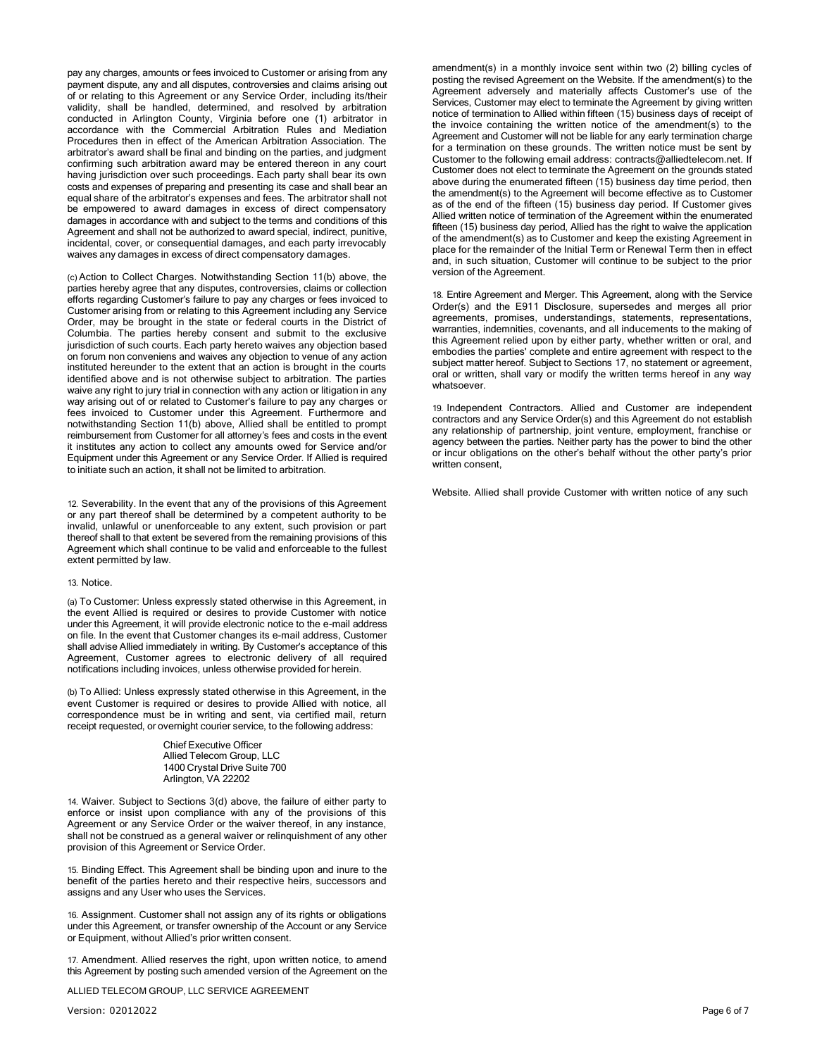pay any charges, amounts or fees invoiced to Customer or arising from any payment dispute, any and all disputes, controversies and claims arising out of or relating to this Agreement or any Service Order, including its/their validity, shall be handled, determined, and resolved by arbitration conducted in Arlington County, Virginia before one (1) arbitrator in accordance with the Commercial Arbitration Rules and Mediation Procedures then in effect of the American Arbitration Association. The arbitrator's award shall be final and binding on the parties, and judgment confirming such arbitration award may be entered thereon in any court having jurisdiction over such proceedings. Each party shall bear its own costs and expenses of preparing and presenting its case and shall bear an equal share of the arbitrator's expenses and fees. The arbitrator shall not be empowered to award damages in excess of direct compensatory damages in accordance with and subject to the terms and conditions of this Agreement and shall not be authorized to award special, indirect, punitive, incidental, cover, or consequential damages, and each party irrevocably waives any damages in excess of direct compensatory damages.

(c)Action to Collect Charges. Notwithstanding Section 11(b) above, the parties hereby agree that any disputes, controversies, claims or collection efforts regarding Customer's failure to pay any charges or fees invoiced to Customer arising from or relating to this Agreement including any Service Order, may be brought in the state or federal courts in the District of Columbia. The parties hereby consent and submit to the exclusive jurisdiction of such courts. Each party hereto waives any objection based on forum non conveniens and waives any objection to venue of any action instituted hereunder to the extent that an action is brought in the courts identified above and is not otherwise subject to arbitration. The parties waive any right to jury trial in connection with any action or litigation in any way arising out of or related to Customer's failure to pay any charges or fees invoiced to Customer under this Agreement. Furthermore and notwithstanding Section 11(b) above, Allied shall be entitled to prompt reimbursement from Customer for all attorney's fees and costs in the event it institutes any action to collect any amounts owed for Service and/or Equipment under this Agreement or any Service Order. If Allied is required to initiate such an action, it shall not be limited to arbitration.

12. Severability. In the event that any of the provisions of this Agreement or any part thereof shall be determined by a competent authority to be invalid, unlawful or unenforceable to any extent, such provision or part thereof shall to that extent be severed from the remaining provisions of this Agreement which shall continue to be valid and enforceable to the fullest extent permitted by law.

#### 13. Notice.

(a) To Customer: Unless expressly stated otherwise in this Agreement, in the event Allied is required or desires to provide Customer with notice under this Agreement, it will provide electronic notice to the e-mail address on file. In the event that Customer changes its e-mail address, Customer shall advise Allied immediately in writing. By Customer's acceptance of this Agreement, Customer agrees to electronic delivery of all required notifications including invoices, unless otherwise provided for herein.

(b) To Allied: Unless expressly stated otherwise in this Agreement, in the event Customer is required or desires to provide Allied with notice, all correspondence must be in writing and sent, via certified mail, return receipt requested, or overnight courier service, to the following address:

> Chief Executive Officer Allied Telecom Group, LLC 1400 Crystal Drive Suite 700 Arlington, VA 22202

14. Waiver. Subject to Sections 3(d) above, the failure of either party to enforce or insist upon compliance with any of the provisions of this Agreement or any Service Order or the waiver thereof, in any instance, shall not be construed as a general waiver or relinquishment of any other provision of this Agreement or Service Order.

15. Binding Effect. This Agreement shall be binding upon and inure to the benefit of the parties hereto and their respective heirs, successors and assigns and any User who uses the Services.

16. Assignment. Customer shall not assign any of its rights or obligations under this Agreement, or transfer ownership of the Account or any Service or Equipment, without Allied's prior written consent.

17. Amendment. Allied reserves the right, upon written notice, to amend this Agreement by posting such amended version of the Agreement on the

ALLIED TELECOM GROUP, LLC SERVICE AGREEMENT

Version: 02012022 Page 6 of 7

amendment(s) in a monthly invoice sent within two (2) billing cycles of posting the revised Agreement on the Website. If the amendment(s) to the Agreement adversely and materially affects Customer's use of the Services, Customer may elect to terminate the Agreement by giving written notice of termination to Allied within fifteen (15) business days of receipt of the invoice containing the written notice of the amendment(s) to the Agreement and Customer will not be liable for any early termination charge for a termination on these grounds. The written notice must be sent by Customer to the following email address: [contracts@alliedtelecom.net.](mailto:contracts@alliedtelecom.net) If Customer does not elect to terminate the Agreement on the grounds stated above during the enumerated fifteen (15) business day time period, then the amendment(s) to the Agreement will become effective as to Customer as of the end of the fifteen (15) business day period. If Customer gives Allied written notice of termination of the Agreement within the enumerated fifteen (15) business day period, Allied has the right to waive the application of the amendment(s) as to Customer and keep the existing Agreement in place for the remainder of the Initial Term or Renewal Term then in effect and, in such situation, Customer will continue to be subject to the prior version of the Agreement.

18. Entire Agreement and Merger. This Agreement, along with the Service Order(s) and the E911 Disclosure, supersedes and merges all prior agreements, promises, understandings, statements, representations, warranties, indemnities, covenants, and all inducements to the making of this Agreement relied upon by either party, whether written or oral, and embodies the parties' complete and entire agreement with respect to the subject matter hereof. Subject to Sections 17, no statement or agreement, oral or written, shall vary or modify the written terms hereof in any way whatsoever.

19. Independent Contractors. Allied and Customer are independent contractors and any Service Order(s) and this Agreement do not establish any relationship of partnership, joint venture, employment, franchise or agency between the parties. Neither party has the power to bind the other or incur obligations on the other's behalf without the other party's prior written consent,

Website. Allied shall provide Customer with written notice of any such